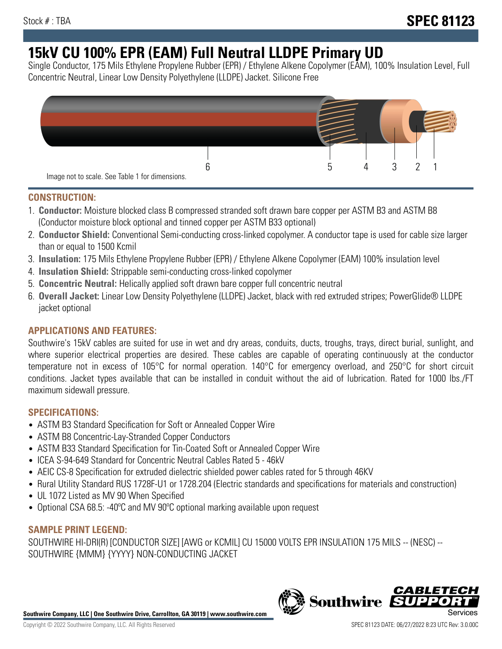# **15kV CU 100% EPR (EAM) Full Neutral LLDPE Primary UD**

Single Conductor, 175 Mils Ethylene Propylene Rubber (EPR) / Ethylene Alkene Copolymer (EAM), 100% Insulation Level, Full Concentric Neutral, Linear Low Density Polyethylene (LLDPE) Jacket. Silicone Free



## **CONSTRUCTION:**

- 1. **Conductor:** Moisture blocked class B compressed stranded soft drawn bare copper per ASTM B3 and ASTM B8 (Conductor moisture block optional and tinned copper per ASTM B33 optional)
- 2. **Conductor Shield:** Conventional Semi-conducting cross-linked copolymer. A conductor tape is used for cable size larger than or equal to 1500 Kcmil
- 3. **Insulation:** 175 Mils Ethylene Propylene Rubber (EPR) / Ethylene Alkene Copolymer (EAM) 100% insulation level
- 4. **Insulation Shield:** Strippable semi-conducting cross-linked copolymer
- 5. **Concentric Neutral:** Helically applied soft drawn bare copper full concentric neutral
- 6. **Overall Jacket:** Linear Low Density Polyethylene (LLDPE) Jacket, black with red extruded stripes; PowerGlide® LLDPE jacket optional

# **APPLICATIONS AND FEATURES:**

Southwire's 15kV cables are suited for use in wet and dry areas, conduits, ducts, troughs, trays, direct burial, sunlight, and where superior electrical properties are desired. These cables are capable of operating continuously at the conductor temperature not in excess of 105°C for normal operation. 140°C for emergency overload, and 250°C for short circuit conditions. Jacket types available that can be installed in conduit without the aid of lubrication. Rated for 1000 lbs./FT maximum sidewall pressure.

# **SPECIFICATIONS:**

- ASTM B3 Standard Specification for Soft or Annealed Copper Wire
- ASTM B8 Concentric-Lay-Stranded Copper Conductors
- ASTM B33 Standard Specification for Tin-Coated Soft or Annealed Copper Wire
- ICEA S-94-649 Standard for Concentric Neutral Cables Rated 5 46kV
- AEIC CS-8 Specification for extruded dielectric shielded power cables rated for 5 through 46KV
- Rural Utility Standard RUS 1728F-U1 or 1728.204 (Electric standards and specifications for materials and construction)
- UL 1072 Listed as MV 90 When Specified
- Optional CSA 68.5: -40ºC and MV 90ºC optional marking available upon request

# **SAMPLE PRINT LEGEND:**

SOUTHWIRE HI-DRI(R) [CONDUCTOR SIZE] [AWG or KCMIL] CU 15000 VOLTS EPR INSULATION 175 MILS -- (NESC) -- SOUTHWIRE {MMM} {YYYY} NON-CONDUCTING JACKET

**Southwire Company, LLC | One Southwire Drive, Carrollton, GA 30119 | www.southwire.com**